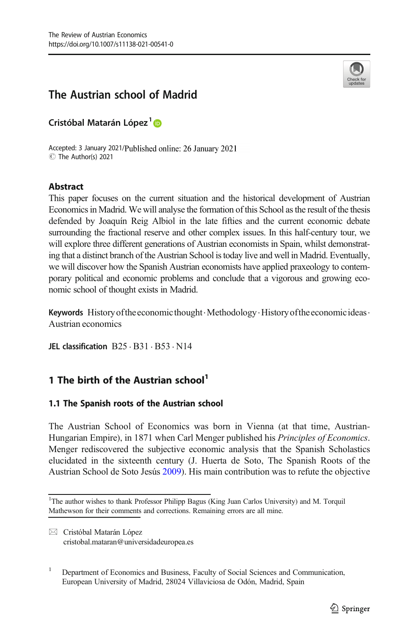

# The Austrian school of Madrid

Cristóbal Matarán López<sup>1</sup>D

Accepted: 3 January 2021/Published online: 26 January 2021 C The Author(s) 2021

# Abstract

This paper focuses on the current situation and the historical development of Austrian Economics in Madrid. We will analyse the formation of this School as the result of the thesis defended by Joaquín Reig Albiol in the late fifties and the current economic debate surrounding the fractional reserve and other complex issues. In this half-century tour, we will explore three different generations of Austrian economists in Spain, whilst demonstrating that a distinct branch of the Austrian School is today live and well in Madrid. Eventually, we will discover how the Spanish Austrian economists have applied praxeology to contemporary political and economic problems and conclude that a vigorous and growing economic school of thought exists in Madrid.

**Keywords** History of the economic thought  $\cdot$  Methodology  $\cdot$  History of the economic ideas. Austrian economics

JEL classification  $B25 \cdot B31 \cdot B53 \cdot N14$ 

# 1 The birth of the Austrian school<sup>1</sup>

# 1.1 The Spanish roots of the Austrian school

The Austrian School of Economics was born in Vienna (at that time, Austrian-Hungarian Empire), in 1871 when Carl Menger published his *Principles of Economics*. Menger rediscovered the subjective economic analysis that the Spanish Scholastics elucidated in the sixteenth century (J. Huerta de Soto, The Spanish Roots of the Austrian School de Soto Jesús [2009](#page-17-0)). His main contribution was to refute the objective

<sup>&</sup>lt;sup>1</sup>The author wishes to thank Professor Philipp Bagus (King Juan Carlos University) and M. Torquil Mathewson for their comments and corrections. Remaining errors are all mine.

 $\boxtimes$  Cristóbal Matarán López [cristobal.mataran@universidadeuropea.es](mailto:cristobal.mataran@universidadeuropea.es)

<sup>1</sup> Department of Economics and Business, Faculty of Social Sciences and Communication, European University of Madrid, 28024 Villaviciosa de Odón, Madrid, Spain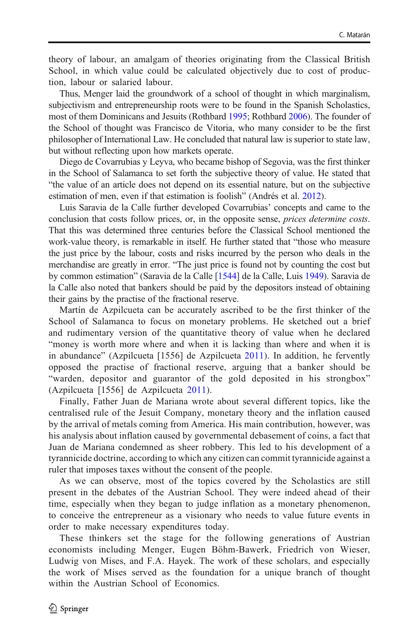theory of labour, an amalgam of theories originating from the Classical British School, in which value could be calculated objectively due to cost of production, labour or salaried labour.

Thus, Menger laid the groundwork of a school of thought in which marginalism, subjectivism and entrepreneurship roots were to be found in the Spanish Scholastics, most of them Dominicans and Jesuits (Rothbard [1995](#page-18-0); Rothbard [2006](#page-18-0)). The founder of the School of thought was Francisco de Vitoria, who many consider to be the first philosopher of International Law. He concluded that natural law is superior to state law, but without reflecting upon how markets operate.

Diego de Covarrubias y Leyva, who became bishop of Segovia, was the first thinker in the School of Salamanca to set forth the subjective theory of value. He stated that "the value of an article does not depend on its essential nature, but on the subjective estimation of men, even if that estimation is foolish" (Andrés et al. [2012\)](#page-17-0).

Luis Saravia de la Calle further developed Covarrubias' concepts and came to the conclusion that costs follow prices, or, in the opposite sense, prices determine costs. That this was determined three centuries before the Classical School mentioned the work-value theory, is remarkable in itself. He further stated that "those who measure the just price by the labour, costs and risks incurred by the person who deals in the merchandise are greatly in error. "The just price is found not by counting the cost but by common estimation" (Saravia de la Calle [[1544](#page-18-0)] de la Calle, Luis [1949\)](#page-17-0). Saravia de la Calle also noted that bankers should be paid by the depositors instead of obtaining their gains by the practise of the fractional reserve.

Martín de Azpilcueta can be accurately ascribed to be the first thinker of the School of Salamanca to focus on monetary problems. He sketched out a brief and rudimentary version of the quantitative theory of value when he declared "money is worth more where and when it is lacking than where and when it is in abundance" (Azpilcueta [1556] de Azpilcueta [2011](#page-17-0)). In addition, he fervently opposed the practise of fractional reserve, arguing that a banker should be "warden, depositor and guarantor of the gold deposited in his strongbox" (Azpilcueta [1556] de Azpilcueta [2011\)](#page-17-0).

Finally, Father Juan de Mariana wrote about several different topics, like the centralised rule of the Jesuit Company, monetary theory and the inflation caused by the arrival of metals coming from America. His main contribution, however, was his analysis about inflation caused by governmental debasement of coins, a fact that Juan de Mariana condemned as sheer robbery. This led to his development of a tyrannicide doctrine, according to which any citizen can commit tyrannicide against a ruler that imposes taxes without the consent of the people.

As we can observe, most of the topics covered by the Scholastics are still present in the debates of the Austrian School. They were indeed ahead of their time, especially when they began to judge inflation as a monetary phenomenon, to conceive the entrepreneur as a visionary who needs to value future events in order to make necessary expenditures today.

These thinkers set the stage for the following generations of Austrian economists including Menger, Eugen Böhm-Bawerk, Friedrich von Wieser, Ludwig von Mises, and F.A. Hayek. The work of these scholars, and especially the work of Mises served as the foundation for a unique branch of thought within the Austrian School of Economics.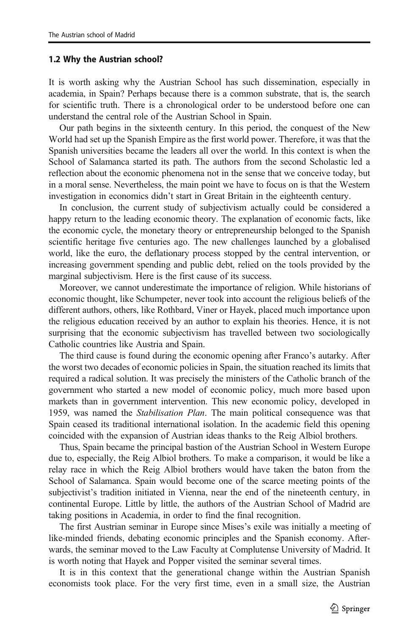#### 1.2 Why the Austrian school?

It is worth asking why the Austrian School has such dissemination, especially in academia, in Spain? Perhaps because there is a common substrate, that is, the search for scientific truth. There is a chronological order to be understood before one can understand the central role of the Austrian School in Spain.

Our path begins in the sixteenth century. In this period, the conquest of the New World had set up the Spanish Empire as the first world power. Therefore, it was that the Spanish universities became the leaders all over the world. In this context is when the School of Salamanca started its path. The authors from the second Scholastic led a reflection about the economic phenomena not in the sense that we conceive today, but in a moral sense. Nevertheless, the main point we have to focus on is that the Western investigation in economics didn't start in Great Britain in the eighteenth century.

In conclusion, the current study of subjectivism actually could be considered a happy return to the leading economic theory. The explanation of economic facts, like the economic cycle, the monetary theory or entrepreneurship belonged to the Spanish scientific heritage five centuries ago. The new challenges launched by a globalised world, like the euro, the deflationary process stopped by the central intervention, or increasing government spending and public debt, relied on the tools provided by the marginal subjectivism. Here is the first cause of its success.

Moreover, we cannot underestimate the importance of religion. While historians of economic thought, like Schumpeter, never took into account the religious beliefs of the different authors, others, like Rothbard, Viner or Hayek, placed much importance upon the religious education received by an author to explain his theories. Hence, it is not surprising that the economic subjectivism has travelled between two sociologically Catholic countries like Austria and Spain.

The third cause is found during the economic opening after Franco's autarky. After the worst two decades of economic policies in Spain, the situation reached its limits that required a radical solution. It was precisely the ministers of the Catholic branch of the government who started a new model of economic policy, much more based upon markets than in government intervention. This new economic policy, developed in 1959, was named the Stabilisation Plan. The main political consequence was that Spain ceased its traditional international isolation. In the academic field this opening coincided with the expansion of Austrian ideas thanks to the Reig Albiol brothers.

Thus, Spain became the principal bastion of the Austrian School in Western Europe due to, especially, the Reig Albiol brothers. To make a comparison, it would be like a relay race in which the Reig Albiol brothers would have taken the baton from the School of Salamanca. Spain would become one of the scarce meeting points of the subjectivist's tradition initiated in Vienna, near the end of the nineteenth century, in continental Europe. Little by little, the authors of the Austrian School of Madrid are taking positions in Academia, in order to find the final recognition.

The first Austrian seminar in Europe since Mises's exile was initially a meeting of like-minded friends, debating economic principles and the Spanish economy. Afterwards, the seminar moved to the Law Faculty at Complutense University of Madrid. It is worth noting that Hayek and Popper visited the seminar several times.

It is in this context that the generational change within the Austrian Spanish economists took place. For the very first time, even in a small size, the Austrian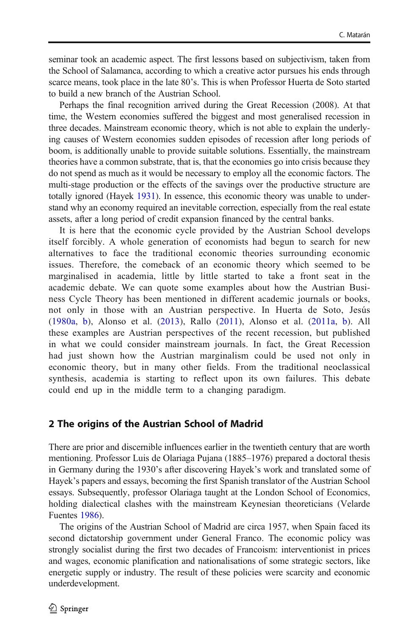seminar took an academic aspect. The first lessons based on subjectivism, taken from the School of Salamanca, according to which a creative actor pursues his ends through scarce means, took place in the late 80's. This is when Professor Huerta de Soto started to build a new branch of the Austrian School.

Perhaps the final recognition arrived during the Great Recession (2008). At that time, the Western economies suffered the biggest and most generalised recession in three decades. Mainstream economic theory, which is not able to explain the underlying causes of Western economies sudden episodes of recession after long periods of boom, is additionally unable to provide suitable solutions. Essentially, the mainstream theories have a common substrate, that is, that the economies go into crisis because they do not spend as much as it would be necessary to employ all the economic factors. The multi-stage production or the effects of the savings over the productive structure are totally ignored (Hayek [1931](#page-17-0)). In essence, this economic theory was unable to understand why an economy required an inevitable correction, especially from the real estate assets, after a long period of credit expansion financed by the central banks.

It is here that the economic cycle provided by the Austrian School develops itself forcibly. A whole generation of economists had begun to search for new alternatives to face the traditional economic theories surrounding economic issues. Therefore, the comeback of an economic theory which seemed to be marginalised in academia, little by little started to take a front seat in the academic debate. We can quote some examples about how the Austrian Business Cycle Theory has been mentioned in different academic journals or books, not only in those with an Austrian perspective. In Huerta de Soto, Jesús [\(1980a](#page-18-0), [b](#page-18-0)), Alonso et al. [\(2013\)](#page-17-0), Rallo [\(2011\)](#page-18-0), Alonso et al. ([2011a,](#page-17-0) [b](#page-17-0)). All these examples are Austrian perspectives of the recent recession, but published in what we could consider mainstream journals. In fact, the Great Recession had just shown how the Austrian marginalism could be used not only in economic theory, but in many other fields. From the traditional neoclassical synthesis, academia is starting to reflect upon its own failures. This debate could end up in the middle term to a changing paradigm.

# 2 The origins of the Austrian School of Madrid

There are prior and discernible influences earlier in the twentieth century that are worth mentioning. Professor Luis de Olariaga Pujana (1885–1976) prepared a doctoral thesis in Germany during the 1930's after discovering Hayek's work and translated some of Hayek's papers and essays, becoming the first Spanish translator of the Austrian School essays. Subsequently, professor Olariaga taught at the London School of Economics, holding dialectical clashes with the mainstream Keynesian theoreticians (Velarde Fuentes [1986\)](#page-18-0).

The origins of the Austrian School of Madrid are circa 1957, when Spain faced its second dictatorship government under General Franco. The economic policy was strongly socialist during the first two decades of Francoism: interventionist in prices and wages, economic planification and nationalisations of some strategic sectors, like energetic supply or industry. The result of these policies were scarcity and economic underdevelopment.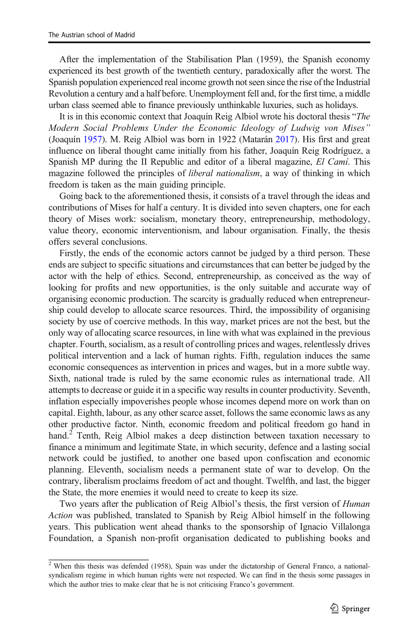After the implementation of the Stabilisation Plan (1959), the Spanish economy experienced its best growth of the twentieth century, paradoxically after the worst. The Spanish population experienced real income growth not seen since the rise of the Industrial Revolution a century and a half before. Unemployment fell and, for the first time, a middle urban class seemed able to finance previously unthinkable luxuries, such as holidays.

It is in this economic context that Joaquín Reig Albiol wrote his doctoral thesis "The Modern Social Problems Under the Economic Ideology of Ludwig von Mises" (Joaquín [1957\)](#page-18-0). M. Reig Albiol was born in 1922 (Matarán [2017\)](#page-18-0). His first and great influence on liberal thought came initially from his father, Joaquín Reig Rodríguez, a Spanish MP during the II Republic and editor of a liberal magazine, El Camí. This magazine followed the principles of *liberal nationalism*, a way of thinking in which freedom is taken as the main guiding principle.

Going back to the aforementioned thesis, it consists of a travel through the ideas and contributions of Mises for half a century. It is divided into seven chapters, one for each theory of Mises work: socialism, monetary theory, entrepreneurship, methodology, value theory, economic interventionism, and labour organisation. Finally, the thesis offers several conclusions.

Firstly, the ends of the economic actors cannot be judged by a third person. These ends are subject to specific situations and circumstances that can better be judged by the actor with the help of ethics. Second, entrepreneurship, as conceived as the way of looking for profits and new opportunities, is the only suitable and accurate way of organising economic production. The scarcity is gradually reduced when entrepreneurship could develop to allocate scarce resources. Third, the impossibility of organising society by use of coercive methods. In this way, market prices are not the best, but the only way of allocating scarce resources, in line with what was explained in the previous chapter. Fourth, socialism, as a result of controlling prices and wages, relentlessly drives political intervention and a lack of human rights. Fifth, regulation induces the same economic consequences as intervention in prices and wages, but in a more subtle way. Sixth, national trade is ruled by the same economic rules as international trade. All attempts to decrease or guide it in a specific way results in counter productivity. Seventh, inflation especially impoverishes people whose incomes depend more on work than on capital. Eighth, labour, as any other scarce asset, follows the same economic laws as any other productive factor. Ninth, economic freedom and political freedom go hand in hand.<sup>2</sup> Tenth, Reig Albiol makes a deep distinction between taxation necessary to finance a minimum and legitimate State, in which security, defence and a lasting social network could be justified, to another one based upon confiscation and economic planning. Eleventh, socialism needs a permanent state of war to develop. On the contrary, liberalism proclaims freedom of act and thought. Twelfth, and last, the bigger the State, the more enemies it would need to create to keep its size.

Two years after the publication of Reig Albiol's thesis, the first version of Human Action was published, translated to Spanish by Reig Albiol himself in the following years. This publication went ahead thanks to the sponsorship of Ignacio Villalonga Foundation, a Spanish non-profit organisation dedicated to publishing books and

 $\sqrt{2}$  When this thesis was defended (1958), Spain was under the dictatorship of General Franco, a nationalsyndicalism regime in which human rights were not respected. We can find in the thesis some passages in which the author tries to make clear that he is not criticising Franco's government.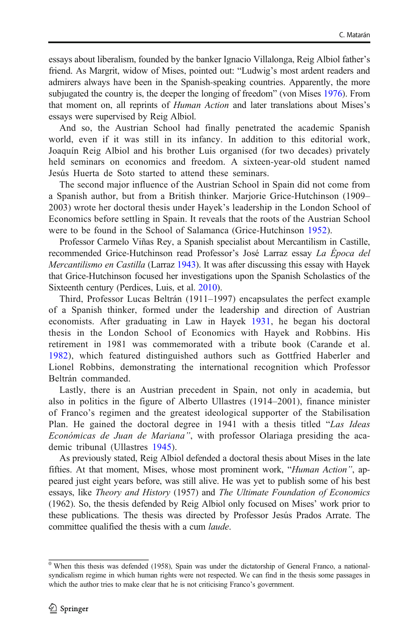essays about liberalism, founded by the banker Ignacio Villalonga, Reig Albiol father's friend. As Margrit, widow of Mises, pointed out: "Ludwig's most ardent readers and admirers always have been in the Spanish-speaking countries. Apparently, the more subjugated the country is, the deeper the longing of freedom" (von Mises [1976](#page-18-0)). From that moment on, all reprints of Human Action and later translations about Mises's essays were supervised by Reig Albiol.

And so, the Austrian School had finally penetrated the academic Spanish world, even if it was still in its infancy. In addition to this editorial work, Joaquín Reig Albiol and his brother Luis organised (for two decades) privately held seminars on economics and freedom. A sixteen-year-old student named Jesús Huerta de Soto started to attend these seminars.

The second major influence of the Austrian School in Spain did not come from a Spanish author, but from a British thinker. Marjorie Grice-Hutchinson (1909– 2003) wrote her doctoral thesis under Hayek's leadership in the London School of Economics before settling in Spain. It reveals that the roots of the Austrian School were to be found in the School of Salamanca (Grice-Hutchinson [1952](#page-17-0)).

Professor Carmelo Viñas Rey, a Spanish specialist about Mercantilism in Castille, recommended Grice-Hutchinson read Professor's José Larraz essay La Época del Mercantilismo en Castilla (Larraz [1943](#page-18-0)). It was after discussing this essay with Hayek that Grice-Hutchinson focused her investigations upon the Spanish Scholastics of the Sixteenth century (Perdices, Luis, et al. [2010\)](#page-18-0).

Third, Professor Lucas Beltrán (1911–1997) encapsulates the perfect example of a Spanish thinker, formed under the leadership and direction of Austrian economists. After graduating in Law in Hayek [1931](#page-17-0), he began his doctoral thesis in the London School of Economics with Hayek and Robbins. His retirement in 1981 was commemorated with a tribute book (Carande et al. [1982](#page-17-0)), which featured distinguished authors such as Gottfried Haberler and Lionel Robbins, demonstrating the international recognition which Professor Beltrán commanded.

Lastly, there is an Austrian precedent in Spain, not only in academia, but also in politics in the figure of Alberto Ullastres (1914–2001), finance minister of Franco's regimen and the greatest ideological supporter of the Stabilisation Plan. He gained the doctoral degree in 1941 with a thesis titled "Las Ideas Económicas de Juan de Mariana", with professor Olariaga presiding the academic tribunal (Ullastres [1945](#page-18-0)).

As previously stated, Reig Albiol defended a doctoral thesis about Mises in the late fifties. At that moment, Mises, whose most prominent work, "Human Action", appeared just eight years before, was still alive. He was yet to publish some of his best essays, like Theory and History (1957) and The Ultimate Foundation of Economics (1962). So, the thesis defended by Reig Albiol only focused on Mises' work prior to these publications. The thesis was directed by Professor Jesús Prados Arrate. The committee qualified the thesis with a cum laude.

 $\overline{0}$  When this thesis was defended (1958), Spain was under the dictatorship of General Franco, a nationalsyndicalism regime in which human rights were not respected. We can find in the thesis some passages in which the author tries to make clear that he is not criticising Franco's government.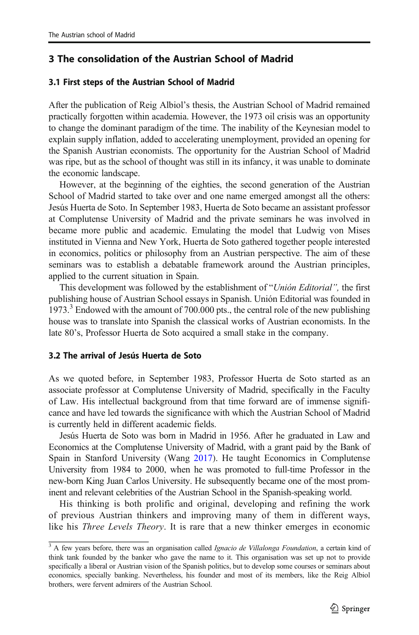# 3 The consolidation of the Austrian School of Madrid

### 3.1 First steps of the Austrian School of Madrid

After the publication of Reig Albiol's thesis, the Austrian School of Madrid remained practically forgotten within academia. However, the 1973 oil crisis was an opportunity to change the dominant paradigm of the time. The inability of the Keynesian model to explain supply inflation, added to accelerating unemployment, provided an opening for the Spanish Austrian economists. The opportunity for the Austrian School of Madrid was ripe, but as the school of thought was still in its infancy, it was unable to dominate the economic landscape.

However, at the beginning of the eighties, the second generation of the Austrian School of Madrid started to take over and one name emerged amongst all the others: Jesús Huerta de Soto. In September 1983, Huerta de Soto became an assistant professor at Complutense University of Madrid and the private seminars he was involved in became more public and academic. Emulating the model that Ludwig von Mises instituted in Vienna and New York, Huerta de Soto gathered together people interested in economics, politics or philosophy from an Austrian perspective. The aim of these seminars was to establish a debatable framework around the Austrian principles, applied to the current situation in Spain.

This development was followed by the establishment of "Unión Editorial", the first publishing house of Austrian School essays in Spanish. Unión Editorial was founded in 1973.<sup>3</sup> Endowed with the amount of 700.000 pts., the central role of the new publishing house was to translate into Spanish the classical works of Austrian economists. In the late 80's, Professor Huerta de Soto acquired a small stake in the company.

#### 3.2 The arrival of Jesús Huerta de Soto

As we quoted before, in September 1983, Professor Huerta de Soto started as an associate professor at Complutense University of Madrid, specifically in the Faculty of Law. His intellectual background from that time forward are of immense significance and have led towards the significance with which the Austrian School of Madrid is currently held in different academic fields.

Jesús Huerta de Soto was born in Madrid in 1956. After he graduated in Law and Economics at the Complutense University of Madrid, with a grant paid by the Bank of Spain in Stanford University (Wang [2017\)](#page-18-0). He taught Economics in Complutense University from 1984 to 2000, when he was promoted to full-time Professor in the new-born King Juan Carlos University. He subsequently became one of the most prominent and relevant celebrities of the Austrian School in the Spanish-speaking world.

His thinking is both prolific and original, developing and refining the work of previous Austrian thinkers and improving many of them in different ways, like his Three Levels Theory. It is rare that a new thinker emerges in economic

<sup>&</sup>lt;sup>3</sup> A few years before, there was an organisation called Ignacio de Villalonga Foundation, a certain kind of think tank founded by the banker who gave the name to it. This organisation was set up not to provide specifically a liberal or Austrian vision of the Spanish politics, but to develop some courses or seminars about economics, specially banking. Nevertheless, his founder and most of its members, like the Reig Albiol brothers, were fervent admirers of the Austrian School.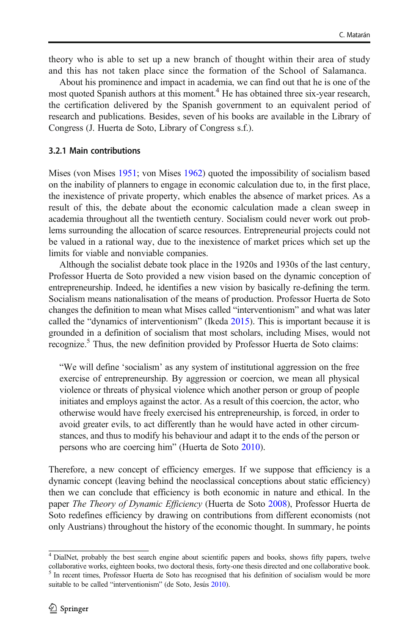theory who is able to set up a new branch of thought within their area of study and this has not taken place since the formation of the School of Salamanca.

About his prominence and impact in academia, we can find out that he is one of the most quoted Spanish authors at this moment.<sup>4</sup> He has obtained three six-year research, the certification delivered by the Spanish government to an equivalent period of research and publications. Besides, seven of his books are available in the Library of Congress (J. Huerta de Soto, Library of Congress s.f.).

### 3.2.1 Main contributions

Mises (von Mises [1951;](#page-18-0) von Mises [1962](#page-18-0)) quoted the impossibility of socialism based on the inability of planners to engage in economic calculation due to, in the first place, the inexistence of private property, which enables the absence of market prices. As a result of this, the debate about the economic calculation made a clean sweep in academia throughout all the twentieth century. Socialism could never work out problems surrounding the allocation of scarce resources. Entrepreneurial projects could not be valued in a rational way, due to the inexistence of market prices which set up the limits for viable and nonviable companies.

Although the socialist debate took place in the 1920s and 1930s of the last century, Professor Huerta de Soto provided a new vision based on the dynamic conception of entrepreneurship. Indeed, he identifies a new vision by basically re-defining the term. Socialism means nationalisation of the means of production. Professor Huerta de Soto changes the definition to mean what Mises called "interventionism" and what was later called the "dynamics of interventionism" (Ikeda [2015\)](#page-18-0). This is important because it is grounded in a definition of socialism that most scholars, including Mises, would not recognize.<sup>5</sup> Thus, the new definition provided by Professor Huerta de Soto claims:

"We will define 'socialism' as any system of institutional aggression on the free exercise of entrepreneurship. By aggression or coercion, we mean all physical violence or threats of physical violence which another person or group of people initiates and employs against the actor. As a result of this coercion, the actor, who otherwise would have freely exercised his entrepreneurship, is forced, in order to avoid greater evils, to act differently than he would have acted in other circumstances, and thus to modify his behaviour and adapt it to the ends of the person or persons who are coercing him" (Huerta de Soto [2010\)](#page-17-0).

Therefore, a new concept of efficiency emerges. If we suppose that efficiency is a dynamic concept (leaving behind the neoclassical conceptions about static efficiency) then we can conclude that efficiency is both economic in nature and ethical. In the paper *The Theory of Dynamic Efficiency* (Huerta de Soto [2008](#page-17-0)), Professor Huerta de Soto redefines efficiency by drawing on contributions from different economists (not only Austrians) throughout the history of the economic thought. In summary, he points

<sup>4</sup> DialNet, probably the best search engine about scientific papers and books, shows fifty papers, twelve collaborative works, eighteen books, two doctoral thesis, forty-one thesis directed and one collaborative book. <sup>5</sup> In recent times, Professor Huerta de Soto has recognised that his definition of socialism would be more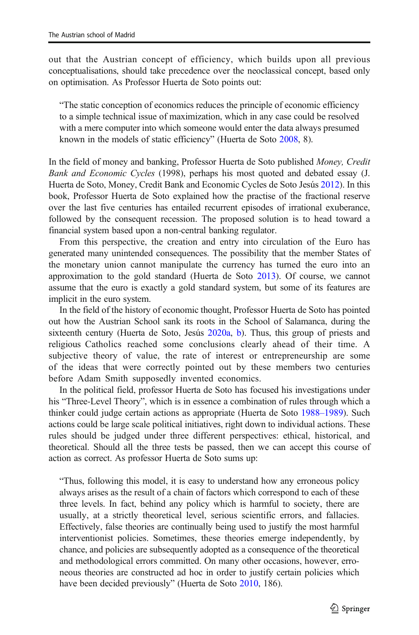out that the Austrian concept of efficiency, which builds upon all previous conceptualisations, should take precedence over the neoclassical concept, based only on optimisation. As Professor Huerta de Soto points out:

"The static conception of economics reduces the principle of economic efficiency to a simple technical issue of maximization, which in any case could be resolved with a mere computer into which someone would enter the data always presumed known in the models of static efficiency" (Huerta de Soto [2008,](#page-17-0) 8).

In the field of money and banking, Professor Huerta de Soto published Money, Credit Bank and Economic Cycles (1998), perhaps his most quoted and debated essay (J. Huerta de Soto, Money, Credit Bank and Economic Cycles de Soto Jesús [2012](#page-17-0)). In this book, Professor Huerta de Soto explained how the practise of the fractional reserve over the last five centuries has entailed recurrent episodes of irrational exuberance, followed by the consequent recession. The proposed solution is to head toward a financial system based upon a non-central banking regulator.

From this perspective, the creation and entry into circulation of the Euro has generated many unintended consequences. The possibility that the member States of the monetary union cannot manipulate the currency has turned the euro into an approximation to the gold standard (Huerta de Soto [2013](#page-17-0)). Of course, we cannot assume that the euro is exactly a gold standard system, but some of its features are implicit in the euro system.

In the field of the history of economic thought, Professor Huerta de Soto has pointed out how the Austrian School sank its roots in the School of Salamanca, during the sixteenth century (Huerta de Soto, Jesús [2020a,](#page-17-0) [b](#page-17-0)). Thus, this group of priests and religious Catholics reached some conclusions clearly ahead of their time. A subjective theory of value, the rate of interest or entrepreneurship are some of the ideas that were correctly pointed out by these members two centuries before Adam Smith supposedly invented economics.

In the political field, professor Huerta de Soto has focused his investigations under his "Three-Level Theory", which is in essence a combination of rules through which a thinker could judge certain actions as appropriate (Huerta de Soto [1988](#page-17-0)–1989). Such actions could be large scale political initiatives, right down to individual actions. These rules should be judged under three different perspectives: ethical, historical, and theoretical. Should all the three tests be passed, then we can accept this course of action as correct. As professor Huerta de Soto sums up:

"Thus, following this model, it is easy to understand how any erroneous policy always arises as the result of a chain of factors which correspond to each of these three levels. In fact, behind any policy which is harmful to society, there are usually, at a strictly theoretical level, serious scientific errors, and fallacies. Effectively, false theories are continually being used to justify the most harmful interventionist policies. Sometimes, these theories emerge independently, by chance, and policies are subsequently adopted as a consequence of the theoretical and methodological errors committed. On many other occasions, however, erroneous theories are constructed ad hoc in order to justify certain policies which have been decided previously" (Huerta de Soto [2010,](#page-17-0) 186).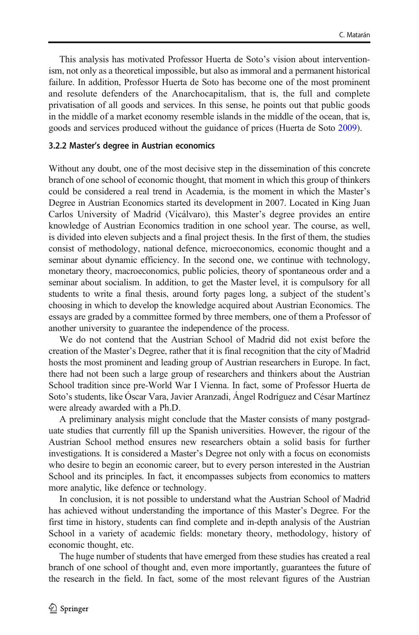This analysis has motivated Professor Huerta de Soto's vision about interventionism, not only as a theoretical impossible, but also as immoral and a permanent historical failure. In addition, Professor Huerta de Soto has become one of the most prominent and resolute defenders of the Anarchocapitalism, that is, the full and complete privatisation of all goods and services. In this sense, he points out that public goods in the middle of a market economy resemble islands in the middle of the ocean, that is, goods and services produced without the guidance of prices (Huerta de Soto [2009](#page-17-0)).

#### 3.2.2 Master's degree in Austrian economics

Without any doubt, one of the most decisive step in the dissemination of this concrete branch of one school of economic thought, that moment in which this group of thinkers could be considered a real trend in Academia, is the moment in which the Master's Degree in Austrian Economics started its development in 2007. Located in King Juan Carlos University of Madrid (Vicálvaro), this Master's degree provides an entire knowledge of Austrian Economics tradition in one school year. The course, as well, is divided into eleven subjects and a final project thesis. In the first of them, the studies consist of methodology, national defence, microeconomics, economic thought and a seminar about dynamic efficiency. In the second one, we continue with technology, monetary theory, macroeconomics, public policies, theory of spontaneous order and a seminar about socialism. In addition, to get the Master level, it is compulsory for all students to write a final thesis, around forty pages long, a subject of the student's choosing in which to develop the knowledge acquired about Austrian Economics. The essays are graded by a committee formed by three members, one of them a Professor of another university to guarantee the independence of the process.

We do not contend that the Austrian School of Madrid did not exist before the creation of the Master's Degree, rather that it is final recognition that the city of Madrid hosts the most prominent and leading group of Austrian researchers in Europe. In fact, there had not been such a large group of researchers and thinkers about the Austrian School tradition since pre-World War I Vienna. In fact, some of Professor Huerta de Soto's students, like Óscar Vara, Javier Aranzadi, Ángel Rodríguez and César Martínez were already awarded with a Ph.D.

A preliminary analysis might conclude that the Master consists of many postgraduate studies that currently fill up the Spanish universities. However, the rigour of the Austrian School method ensures new researchers obtain a solid basis for further investigations. It is considered a Master's Degree not only with a focus on economists who desire to begin an economic career, but to every person interested in the Austrian School and its principles. In fact, it encompasses subjects from economics to matters more analytic, like defence or technology.

In conclusion, it is not possible to understand what the Austrian School of Madrid has achieved without understanding the importance of this Master's Degree. For the first time in history, students can find complete and in-depth analysis of the Austrian School in a variety of academic fields: monetary theory, methodology, history of economic thought, etc.

The huge number of students that have emerged from these studies has created a real branch of one school of thought and, even more importantly, guarantees the future of the research in the field. In fact, some of the most relevant figures of the Austrian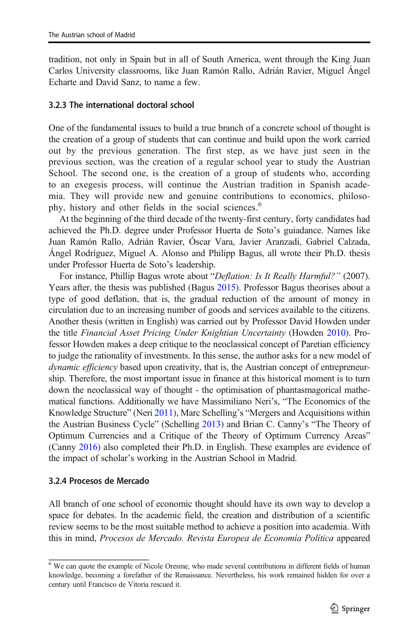tradition, not only in Spain but in all of South America, went through the King Juan Carlos University classrooms, like Juan Ramón Rallo, Adrián Ravier, Miguel Ángel Echarte and David Sanz, to name a few.

#### 3.2.3 The international doctoral school

One of the fundamental issues to build a true branch of a concrete school of thought is the creation of a group of students that can continue and build upon the work carried out by the previous generation. The first step, as we have just seen in the previous section, was the creation of a regular school year to study the Austrian School. The second one, is the creation of a group of students who, according to an exegesis process, will continue the Austrian tradition in Spanish academia. They will provide new and genuine contributions to economics, philosophy, history and other fields in the social sciences.<sup>6</sup>

At the beginning of the third decade of the twenty-first century, forty candidates had achieved the Ph.D. degree under Professor Huerta de Soto's guiadance. Names like Juan Ramón Rallo, Adrián Ravier, Óscar Vara, Javier Aranzadi, Gabriel Calzada, Ángel Rodríguez, Miguel A. Alonso and Philipp Bagus, all wrote their Ph.D. thesis under Professor Huerta de Soto's leadership.

For instance, Phillip Bagus wrote about "Deflation: Is It Really Harmful?" (2007). Years after, the thesis was published (Bagus [2015](#page-17-0)). Professor Bagus theorises about a type of good deflation, that is, the gradual reduction of the amount of money in circulation due to an increasing number of goods and services available to the citizens. Another thesis (written in English) was carried out by Professor David Howden under the title Financial Asset Pricing Under Knightian Uncertainty (Howden [2010\)](#page-18-0). Professor Howden makes a deep critique to the neoclassical concept of Paretian efficiency to judge the rationality of investments. In this sense, the author asks for a new model of dynamic efficiency based upon creativity, that is, the Austrian concept of entrepreneurship. Therefore, the most important issue in finance at this historical moment is to turn down the neoclassical way of thought - the optimisation of phantasmagorical mathematical functions. Additionally we have Massimiliano Neri's, "The Economics of the Knowledge Structure" (Neri [2011\)](#page-18-0), Marc Schelling's "Mergers and Acquisitions within the Austrian Business Cycle" (Schelling [2013\)](#page-18-0) and Brian C. Canny's "The Theory of Optimum Currencies and a Critique of the Theory of Optimum Currency Areas" (Canny [2016](#page-17-0)) also completed their Ph.D. in English. These examples are evidence of the impact of scholar's working in the Austrian School in Madrid.

#### 3.2.4 Procesos de Mercado

All branch of one school of economic thought should have its own way to develop a space for debates. In the academic field, the creation and distribution of a scientific review seems to be the most suitable method to achieve a position into academia. With this in mind, Procesos de Mercado. Revista Europea de Economía Política appeared

<sup>&</sup>lt;sup>6</sup> We can quote the example of Nicole Oresme, who made several contributions in different fields of human knowledge, becoming a forefather of the Renaissance. Nevertheless, his work remained hidden for over a century until Francisco de Vitoria rescued it.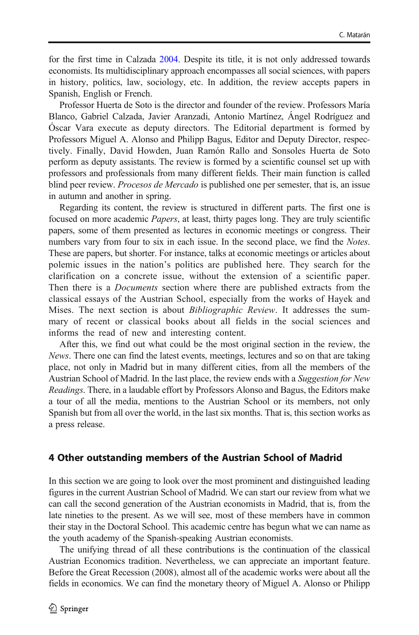for the first time in Calzada [2004.](#page-17-0) Despite its title, it is not only addressed towards economists. Its multidisciplinary approach encompasses all social sciences, with papers in history, politics, law, sociology, etc. In addition, the review accepts papers in Spanish, English or French.

Professor Huerta de Soto is the director and founder of the review. Professors María Blanco, Gabriel Calzada, Javier Aranzadi, Antonio Martínez, Ángel Rodríguez and Óscar Vara execute as deputy directors. The Editorial department is formed by Professors Miguel A. Alonso and Philipp Bagus, Editor and Deputy Director, respectively. Finally, David Howden, Juan Ramón Rallo and Sonsoles Huerta de Soto perform as deputy assistants. The review is formed by a scientific counsel set up with professors and professionals from many different fields. Their main function is called blind peer review. *Procesos de Mercado* is published one per semester, that is, an issue in autumn and another in spring.

Regarding its content, the review is structured in different parts. The first one is focused on more academic Papers, at least, thirty pages long. They are truly scientific papers, some of them presented as lectures in economic meetings or congress. Their numbers vary from four to six in each issue. In the second place, we find the *Notes*. These are papers, but shorter. For instance, talks at economic meetings or articles about polemic issues in the nation's politics are published here. They search for the clarification on a concrete issue, without the extension of a scientific paper. Then there is a Documents section where there are published extracts from the classical essays of the Austrian School, especially from the works of Hayek and Mises. The next section is about *Bibliographic Review*. It addresses the summary of recent or classical books about all fields in the social sciences and informs the read of new and interesting content.

After this, we find out what could be the most original section in the review, the News. There one can find the latest events, meetings, lectures and so on that are taking place, not only in Madrid but in many different cities, from all the members of the Austrian School of Madrid. In the last place, the review ends with a Suggestion for New Readings. There, in a laudable effort by Professors Alonso and Bagus, the Editors make a tour of all the media, mentions to the Austrian School or its members, not only Spanish but from all over the world, in the last six months. That is, this section works as a press release.

#### 4 Other outstanding members of the Austrian School of Madrid

In this section we are going to look over the most prominent and distinguished leading figures in the current Austrian School of Madrid. We can start our review from what we can call the second generation of the Austrian economists in Madrid, that is, from the late nineties to the present. As we will see, most of these members have in common their stay in the Doctoral School. This academic centre has begun what we can name as the youth academy of the Spanish-speaking Austrian economists.

The unifying thread of all these contributions is the continuation of the classical Austrian Economics tradition. Nevertheless, we can appreciate an important feature. Before the Great Recession (2008), almost all of the academic works were about all the fields in economics. We can find the monetary theory of Miguel A. Alonso or Philipp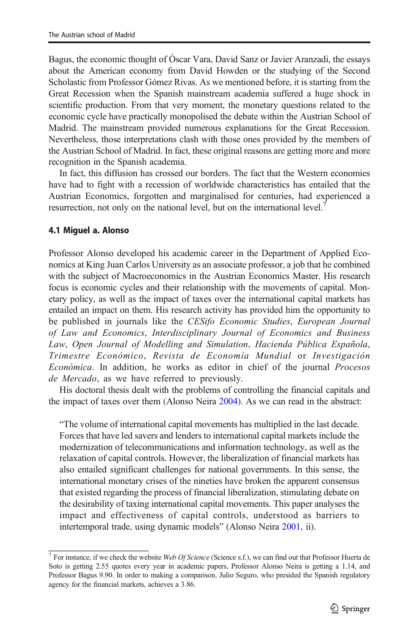Bagus, the economic thought of Óscar Vara, David Sanz or Javier Aranzadi, the essays about the American economy from David Howden or the studying of the Second Scholastic from Professor Gómez Rivas. As we mentioned before, it is starting from the Great Recession when the Spanish mainstream academia suffered a huge shock in scientific production. From that very moment, the monetary questions related to the economic cycle have practically monopolised the debate within the Austrian School of Madrid. The mainstream provided numerous explanations for the Great Recession. Nevertheless, those interpretations clash with those ones provided by the members of the Austrian School of Madrid. In fact, these original reasons are getting more and more recognition in the Spanish academia.

In fact, this diffusion has crossed our borders. The fact that the Western economies have had to fight with a recession of worldwide characteristics has entailed that the Austrian Economics, forgotten and marginalised for centuries, had experienced a resurrection, not only on the national level, but on the international level.<sup>7</sup>

#### 4.1 Miguel a. Alonso

Professor Alonso developed his academic career in the Department of Applied Economics at King Juan Carlos University as an associate professor, a job that he combined with the subject of Macroeconomics in the Austrian Economics Master. His research focus is economic cycles and their relationship with the movements of capital. Monetary policy, as well as the impact of taxes over the international capital markets has entailed an impact on them. His research activity has provided him the opportunity to be published in journals like the CESifo Economic Studies, European Journal of Law and Economics, Interdisciplinary Journal of Economics and Business Law, Open Journal of Modelling and Simulation, Hacienda Pública Española, Trimestre Económico, Revista de Economía Mundial or Investigación Económica. In addition, he works as editor in chief of the journal Procesos de Mercado, as we have referred to previously.

His doctoral thesis dealt with the problems of controlling the financial capitals and the impact of taxes over them (Alonso Neira [2004](#page-17-0)). As we can read in the abstract:

"The volume of international capital movements has multiplied in the last decade. Forces that have led savers and lenders to international capital markets include the modernization of telecommunications and information technology, as well as the relaxation of capital controls. However, the liberalization of financial markets has also entailed significant challenges for national governments. In this sense, the international monetary crises of the nineties have broken the apparent consensus that existed regarding the process of financial liberalization, stimulating debate on the desirability of taxing international capital movements. This paper analyses the impact and effectiveness of capital controls, understood as barriers to intertemporal trade, using dynamic models" (Alonso Neira [2001](#page-16-0), ii).

<sup>&</sup>lt;sup>7</sup> For instance, if we check the website Web Of Science (Science s.f.), we can find out that Professor Huerta de Soto is getting 2.55 quotes every year in academic papers, Professor Alonso Neira is getting a 1.14, and Professor Bagus 9.90. In order to making a comparison, Julio Seguro, who presided the Spanish regulatory agency for the financial markets, achieves a 3.86.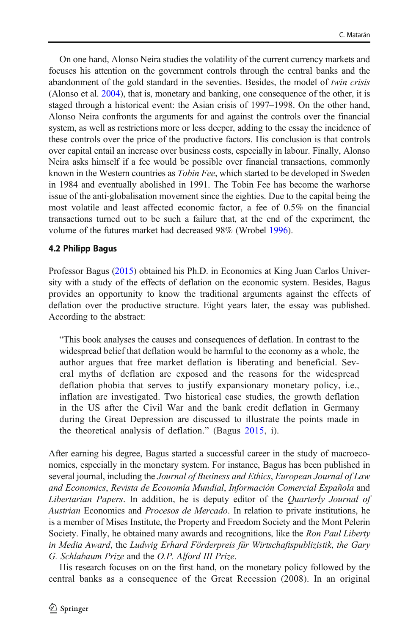On one hand, Alonso Neira studies the volatility of the current currency markets and focuses his attention on the government controls through the central banks and the abandonment of the gold standard in the seventies. Besides, the model of twin crisis (Alonso et al. [2004](#page-17-0)), that is, monetary and banking, one consequence of the other, it is staged through a historical event: the Asian crisis of 1997–1998. On the other hand, Alonso Neira confronts the arguments for and against the controls over the financial system, as well as restrictions more or less deeper, adding to the essay the incidence of these controls over the price of the productive factors. His conclusion is that controls over capital entail an increase over business costs, especially in labour. Finally, Alonso Neira asks himself if a fee would be possible over financial transactions, commonly known in the Western countries as *Tobin Fee*, which started to be developed in Sweden in 1984 and eventually abolished in 1991. The Tobin Fee has become the warhorse issue of the anti-globalisation movement since the eighties. Due to the capital being the most volatile and least affected economic factor, a fee of 0.5% on the financial transactions turned out to be such a failure that, at the end of the experiment, the volume of the futures market had decreased 98% (Wrobel [1996\)](#page-18-0).

#### 4.2 Philipp Bagus

Professor Bagus ([2015](#page-17-0)) obtained his Ph.D. in Economics at King Juan Carlos University with a study of the effects of deflation on the economic system. Besides, Bagus provides an opportunity to know the traditional arguments against the effects of deflation over the productive structure. Eight years later, the essay was published. According to the abstract:

"This book analyses the causes and consequences of deflation. In contrast to the widespread belief that deflation would be harmful to the economy as a whole, the author argues that free market deflation is liberating and beneficial. Several myths of deflation are exposed and the reasons for the widespread deflation phobia that serves to justify expansionary monetary policy, i.e., inflation are investigated. Two historical case studies, the growth deflation in the US after the Civil War and the bank credit deflation in Germany during the Great Depression are discussed to illustrate the points made in the theoretical analysis of deflation." (Bagus [2015](#page-17-0), i).

After earning his degree, Bagus started a successful career in the study of macroeconomics, especially in the monetary system. For instance, Bagus has been published in several journal, including the Journal of Business and Ethics, European Journal of Law and Economics, Revista de Economía Mundial, Información Comercial Española and Libertarian Papers. In addition, he is deputy editor of the Quarterly Journal of Austrian Economics and Procesos de Mercado. In relation to private institutions, he is a member of Mises Institute, the Property and Freedom Society and the Mont Pelerin Society. Finally, he obtained many awards and recognitions, like the Ron Paul Liberty in Media Award, the Ludwig Erhard Förderpreis für Wirtschaftspublizistik, the Gary G. Schlabaum Prize and the O.P. Alford III Prize.

His research focuses on on the first hand, on the monetary policy followed by the central banks as a consequence of the Great Recession (2008). In an original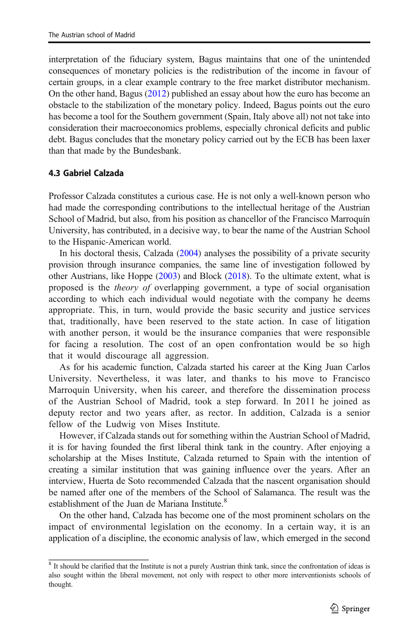interpretation of the fiduciary system, Bagus maintains that one of the unintended consequences of monetary policies is the redistribution of the income in favour of certain groups, in a clear example contrary to the free market distributor mechanism. On the other hand, Bagus [\(2012\)](#page-17-0) published an essay about how the euro has become an obstacle to the stabilization of the monetary policy. Indeed, Bagus points out the euro has become a tool for the Southern government (Spain, Italy above all) not not take into consideration their macroeconomics problems, especially chronical deficits and public debt. Bagus concludes that the monetary policy carried out by the ECB has been laxer than that made by the Bundesbank.

#### 4.3 Gabriel Calzada

Professor Calzada constitutes a curious case. He is not only a well-known person who had made the corresponding contributions to the intellectual heritage of the Austrian School of Madrid, but also, from his position as chancellor of the Francisco Marroquín University, has contributed, in a decisive way, to bear the name of the Austrian School to the Hispanic-American world.

In his doctoral thesis, Calzada [\(2004\)](#page-17-0) analyses the possibility of a private security provision through insurance companies, the same line of investigation followed by other Austrians, like Hoppe [\(2003\)](#page-18-0) and Block [\(2018\)](#page-17-0). To the ultimate extent, what is proposed is the theory of overlapping government, a type of social organisation according to which each individual would negotiate with the company he deems appropriate. This, in turn, would provide the basic security and justice services that, traditionally, have been reserved to the state action. In case of litigation with another person, it would be the insurance companies that were responsible for facing a resolution. The cost of an open confrontation would be so high that it would discourage all aggression.

As for his academic function, Calzada started his career at the King Juan Carlos University. Nevertheless, it was later, and thanks to his move to Francisco Marroquín University, when his career, and therefore the dissemination process of the Austrian School of Madrid, took a step forward. In 2011 he joined as deputy rector and two years after, as rector. In addition, Calzada is a senior fellow of the Ludwig von Mises Institute.

However, if Calzada stands out for something within the Austrian School of Madrid, it is for having founded the first liberal think tank in the country. After enjoying a scholarship at the Mises Institute, Calzada returned to Spain with the intention of creating a similar institution that was gaining influence over the years. After an interview, Huerta de Soto recommended Calzada that the nascent organisation should be named after one of the members of the School of Salamanca. The result was the establishment of the Juan de Mariana Institute.<sup>8</sup>

On the other hand, Calzada has become one of the most prominent scholars on the impact of environmental legislation on the economy. In a certain way, it is an application of a discipline, the economic analysis of law, which emerged in the second

 $8$  It should be clarified that the Institute is not a purely Austrian think tank, since the confrontation of ideas is also sought within the liberal movement, not only with respect to other more interventionists schools of thought.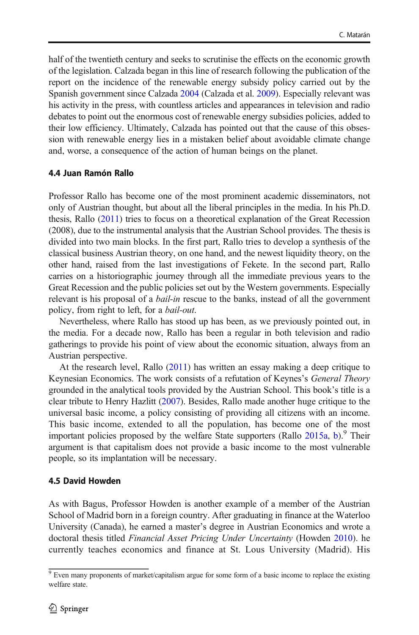half of the twentieth century and seeks to scrutinise the effects on the economic growth of the legislation. Calzada began in this line of research following the publication of the report on the incidence of the renewable energy subsidy policy carried out by the Spanish government since Calzada [2004](#page-17-0) (Calzada et al. [2009\)](#page-17-0). Especially relevant was his activity in the press, with countless articles and appearances in television and radio debates to point out the enormous cost of renewable energy subsidies policies, added to their low efficiency. Ultimately, Calzada has pointed out that the cause of this obsession with renewable energy lies in a mistaken belief about avoidable climate change and, worse, a consequence of the action of human beings on the planet.

#### 4.4 Juan Ramón Rallo

Professor Rallo has become one of the most prominent academic disseminators, not only of Austrian thought, but about all the liberal principles in the media. In his Ph.D. thesis, Rallo ([2011](#page-18-0)) tries to focus on a theoretical explanation of the Great Recession (2008), due to the instrumental analysis that the Austrian School provides. The thesis is divided into two main blocks. In the first part, Rallo tries to develop a synthesis of the classical business Austrian theory, on one hand, and the newest liquidity theory, on the other hand, raised from the last investigations of Fekete. In the second part, Rallo carries on a historiographic journey through all the immediate previous years to the Great Recession and the public policies set out by the Western governments. Especially relevant is his proposal of a *bail-in* rescue to the banks, instead of all the government policy, from right to left, for a bail-out.

Nevertheless, where Rallo has stood up has been, as we previously pointed out, in the media. For a decade now, Rallo has been a regular in both television and radio gatherings to provide his point of view about the economic situation, always from an Austrian perspective.

At the research level, Rallo [\(2011\)](#page-18-0) has written an essay making a deep critique to Keynesian Economics. The work consists of a refutation of Keynes's General Theory grounded in the analytical tools provided by the Austrian School. This book's title is a clear tribute to Henry Hazlitt ([2007](#page-18-0)). Besides, Rallo made another huge critique to the universal basic income, a policy consisting of providing all citizens with an income. This basic income, extended to all the population, has become one of the most important policies proposed by the welfare State supporters (Rallo [2015a,](#page-18-0) [b\)](#page-18-0). <sup>9</sup> Their argument is that capitalism does not provide a basic income to the most vulnerable people, so its implantation will be necessary.

#### 4.5 David Howden

As with Bagus, Professor Howden is another example of a member of the Austrian School of Madrid born in a foreign country. After graduating in finance at the Waterloo University (Canada), he earned a master's degree in Austrian Economics and wrote a doctoral thesis titled Financial Asset Pricing Under Uncertainty (Howden [2010\)](#page-18-0). he currently teaches economics and finance at St. Lous University (Madrid). His

<sup>&</sup>lt;sup>9</sup> Even many proponents of market/capitalism argue for some form of a basic income to replace the existing welfare state.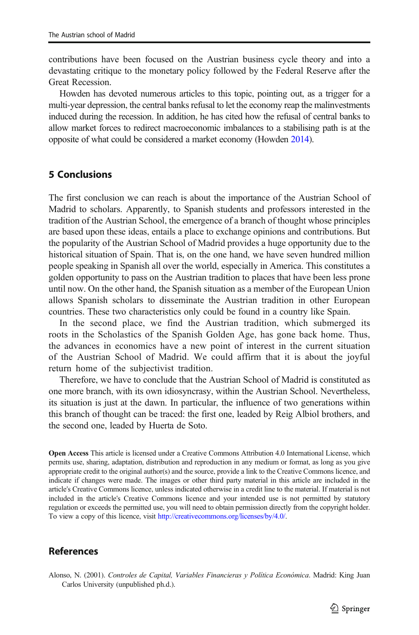<span id="page-16-0"></span>contributions have been focused on the Austrian business cycle theory and into a devastating critique to the monetary policy followed by the Federal Reserve after the Great Recession.

Howden has devoted numerous articles to this topic, pointing out, as a trigger for a multi-year depression, the central banks refusal to let the economy reap the malinvestments induced during the recession. In addition, he has cited how the refusal of central banks to allow market forces to redirect macroeconomic imbalances to a stabilising path is at the opposite of what could be considered a market economy (Howden [2014](#page-18-0)).

# 5 Conclusions

The first conclusion we can reach is about the importance of the Austrian School of Madrid to scholars. Apparently, to Spanish students and professors interested in the tradition of the Austrian School, the emergence of a branch of thought whose principles are based upon these ideas, entails a place to exchange opinions and contributions. But the popularity of the Austrian School of Madrid provides a huge opportunity due to the historical situation of Spain. That is, on the one hand, we have seven hundred million people speaking in Spanish all over the world, especially in America. This constitutes a golden opportunity to pass on the Austrian tradition to places that have been less prone until now. On the other hand, the Spanish situation as a member of the European Union allows Spanish scholars to disseminate the Austrian tradition in other European countries. These two characteristics only could be found in a country like Spain.

In the second place, we find the Austrian tradition, which submerged its roots in the Scholastics of the Spanish Golden Age, has gone back home. Thus, the advances in economics have a new point of interest in the current situation of the Austrian School of Madrid. We could affirm that it is about the joyful return home of the subjectivist tradition.

Therefore, we have to conclude that the Austrian School of Madrid is constituted as one more branch, with its own idiosyncrasy, within the Austrian School. Nevertheless, its situation is just at the dawn. In particular, the influence of two generations within this branch of thought can be traced: the first one, leaded by Reig Albiol brothers, and the second one, leaded by Huerta de Soto.

Open Access This article is licensed under a Creative Commons Attribution 4.0 International License, which permits use, sharing, adaptation, distribution and reproduction in any medium or format, as long as you give appropriate credit to the original author(s) and the source, provide a link to the Creative Commons licence, and indicate if changes were made. The images or other third party material in this article are included in the article's Creative Commons licence, unless indicated otherwise in a credit line to the material. If material is not included in the article's Creative Commons licence and your intended use is not permitted by statutory regulation or exceeds the permitted use, you will need to obtain permission directly from the copyright holder. To view a copy of this licence, visit [http://creativecommons.org/licenses/by/4.0/](https://www.jesushuertadesoto.com/articulos/articulos--en--ingles/juan--de--mariana--and--the--spanish--scholastics/).

# **References**

Alonso, N. (2001). Controles de Capital, Variables Financieras y Política Económica. Madrid: King Juan Carlos University (unpublished ph.d.).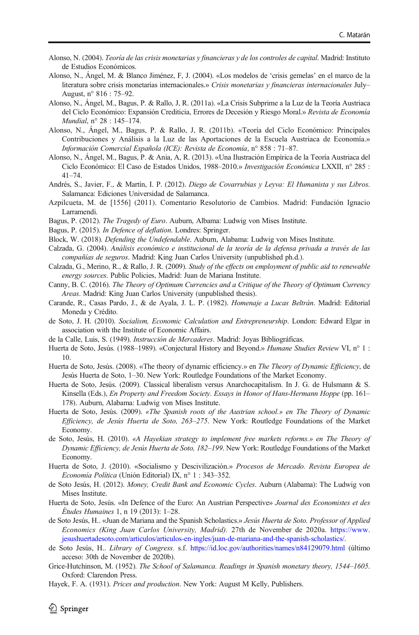- <span id="page-17-0"></span>Alonso, N. (2004). Teoría de las crisis monetarias y financieras y de los controles de capital. Madrid: Instituto de Estudios Económicos.
- Alonso, N., Ángel, M. & Blanco Jiménez, F, J. (2004). «Los modelos de 'crisis gemelas' en el marco de la literatura sobre crisis monetarias internacionales.» Crisis monetarias y financieras internacionales July– August, n° 816 : 75–92.
- Alonso, N., Ángel, M., Bagus, P. & Rallo, J, R. (2011a). «La Crisis Subprime a la Luz de la Teoría Austriaca del Ciclo Económico: Expansión Crediticia, Errores de Decesión y Riesgo Moral.» Revista de Economía Mundial, n° 28 : 145–174.
- Alonso, N., Ángel, M., Bagus, P. & Rallo, J, R. (2011b). «Teoría del Ciclo Económico: Principales Contribuciones y Análisis a la Luz de las Aportaciones de la Escuela Austriaca de Economía.» Información Comercial Española (ICE): Revista de Economía, n° 858 : 71–87.
- Alonso, N., Ángel, M., Bagus, P. & Ania, A, R. (2013). «Una Ilustración Empírica de la Teoría Austriaca del Ciclo Económico: El Caso de Estados Unidos, 1988–2010.» Investigación Económica LXXII, n° 285 : 41–74.
- Andrés, S., Javier, F., & Martín, I. P. (2012). Diego de Covarrubias y Leyva: El Humanista y sus Libros. Salamanca: Ediciones Universidad de Salamanca.
- Azpilcueta, M. de [1556] (2011). Comentario Resolutorio de Cambios. Madrid: Fundación Ignacio Larramendi.
- Bagus, P. (2012). The Tragedy of Euro. Auburn, Albama: Ludwig von Mises Institute.
- Bagus, P. (2015). In Defence of deflation. Londres: Springer.
- Block, W. (2018). Defending the Undefendable. Auburn, Alabama: Ludwig von Mises Institute.
- Calzada, G. (2004). Análisis económico e institucional de la teoría de la defensa privada a través de las compañías de seguros. Madrid: King Juan Carlos University (unpublished ph.d.).
- Calzada, G., Merino, R., & Rallo, J. R. (2009). Study of the effects on employment of public aid to renewable energy sources. Public Policies, Madrid: Juan de Mariana Institute.
- Canny, B. C. (2016). The Theory of Optimum Currencies and a Critique of the Theory of Optimum Currency Areas. Madrid: King Juan Carlos University (unpublished thesis).
- Carande, R., Casas Pardo, J., & de Ayala, J. L. P. (1982). Homenaje a Lucas Beltrán. Madrid: Editorial Moneda y Crédito.
- de Soto, J. H. (2010). Socialism, Economic Calculation and Entrepreneurship. London: Edward Elgar in association with the Institute of Economic Affairs.
- de la Calle, Luis, S. (1949). Instrucción de Mercaderes. Madrid: Joyas Bibliográficas.
- Huerta de Soto, Jesús. (1988–1989). «Conjectural History and Beyond.» Humane Studies Review VI, n° 1 : 10.
- Huerta de Soto, Jesús. (2008). «The theory of dynamic efficiency.» en The Theory of Dynamic Efficiency, de Jesús Huerta de Soto, 1–30. New York: Routledge Foundations of the Market Economy.
- Huerta de Soto, Jesús. (2009). Classical liberalism versus Anarchocapitalism. In J. G. de Hulsmann & S. Kinsella (Eds.), En Property and Freedom Society. Essays in Honor of Hans-Hermann Hoppe (pp. 161– 178). Auburn, Alabama: Ludwig von Mises Institute.
- Huerta de Soto, Jesús. (2009). «The Spanish roots of the Austrian school.» en The Theory of Dynamic Efficiency, de Jesús Huerta de Soto, 263–275. New York: Routledge Foundations of the Market Economy.
- de Soto, Jesús, H. (2010). «A Hayekian strategy to implement free markets reforms.» en The Theory of Dynamic Efficiency, de Jesús Huerta de Soto, 182–199. New York: Routledge Foundations of the Market Economy.
- Huerta de Soto, J. (2010). «Socialismo y Descivilización.» Procesos de Mercado. Revista Europea de Economía Política (Unión Editorial) IX, n° 1 : 343–352.
- de Soto Jesús, H. (2012). Money, Credit Bank and Economic Cycles. Auburn (Alabama): The Ludwig von Mises Institute.
- Huerta de Soto, Jesús. «In Defence of the Euro: An Austrian Perspective» Journal des Economistes et des Études Humaines 1, n 19 (2013): 1–28.
- de Soto Jesús, H.. «Juan de Mariana and the Spanish Scholastics.» Jesús Huerta de Soto. Professor of Applied Economics (King Juan Carlos University, Madrid). 27th de November de 2020a. [https://www.](https://www.jesushuertadesoto.com/articulos/articulos--en--ingles/juan--de--mariana--and--the--spanish--scholastics/) [jesushuertadesoto.com/articulos/articulos-en-ingles/juan-de-mariana-and-the-spanish-scholastics/](https://www.jesushuertadesoto.com/articulos/articulos--en--ingles/juan--de--mariana--and--the--spanish--scholastics/).
- de Soto Jesús, H.. Library of Congress. s.f. <https://id.loc.gov/authorities/names/n84129079.html> (último acceso: 30th de November de 2020b).
- Grice-Hutchinson, M. (1952). The School of Salamanca. Readings in Spanish monetary theory, 1544–1605. Oxford: Clarendon Press.
- Hayek, F. A. (1931). Prices and production. New York: August M Kelly, Publishers.